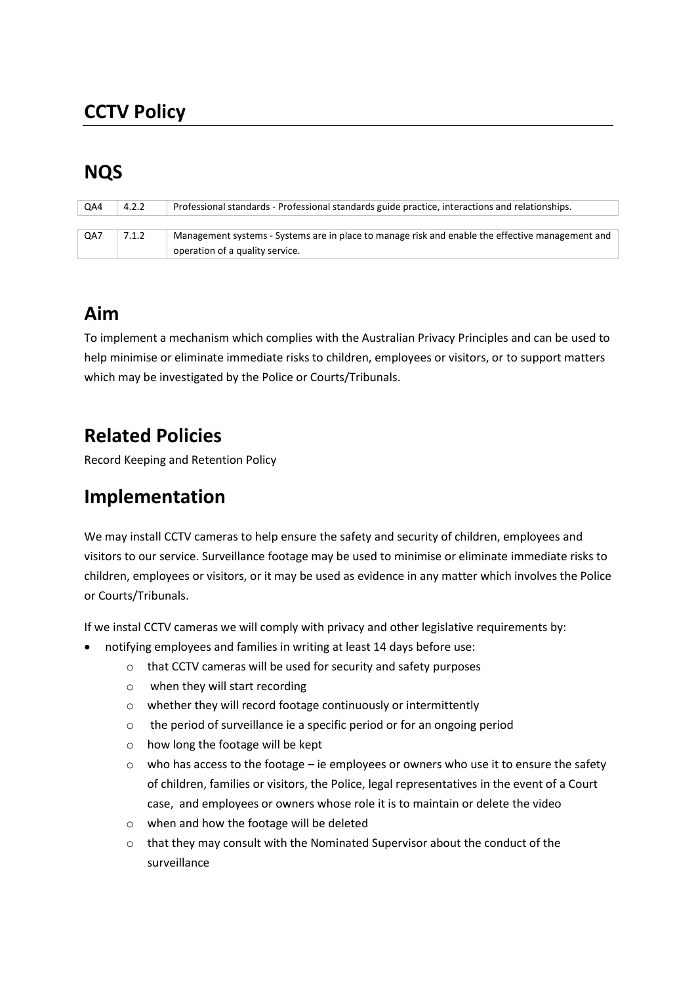# **CCTV Policy**

# **NQS**

| QA4 | 4.2.2 | Professional standards - Professional standards guide practice, interactions and relationships.  |
|-----|-------|--------------------------------------------------------------------------------------------------|
|     |       |                                                                                                  |
| QA7 | 7.1.2 | Management systems - Systems are in place to manage risk and enable the effective management and |
|     |       | operation of a quality service.                                                                  |

## **Aim**

To implement a mechanism which complies with the Australian Privacy Principles and can be used to help minimise or eliminate immediate risks to children, employees or visitors, or to support matters which may be investigated by the Police or Courts/Tribunals.

## **Related Policies**

Record Keeping and Retention Policy

#### **Implementation**

We may install CCTV cameras to help ensure the safety and security of children, employees and visitors to our service. Surveillance footage may be used to minimise or eliminate immediate risks to children, employees or visitors, or it may be used as evidence in any matter which involves the Police or Courts/Tribunals.

If we instal CCTV cameras we will comply with privacy and other legislative requirements by:

- notifying employees and families in writing at least 14 days before use:
	- o that CCTV cameras will be used for security and safety purposes
	- o when they will start recording
	- o whether they will record footage continuously or intermittently
	- o the period of surveillance ie a specific period or for an ongoing period
	- o how long the footage will be kept
	- $\circ$  who has access to the footage ie employees or owners who use it to ensure the safety of children, families or visitors, the Police, legal representatives in the event of a Court case, and employees or owners whose role it is to maintain or delete the video
	- o when and how the footage will be deleted
	- o that they may consult with the Nominated Supervisor about the conduct of the surveillance